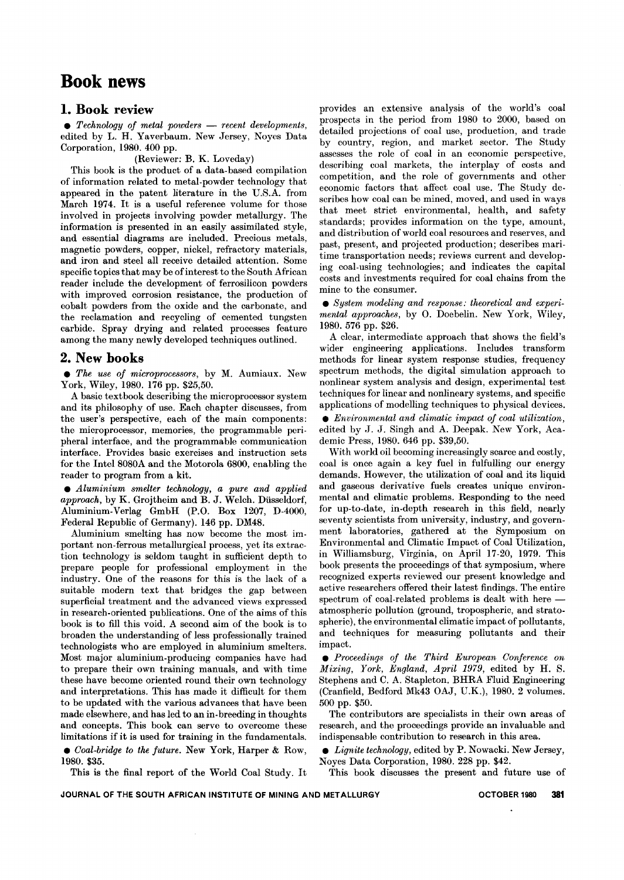# **Book news**

# 1. Book review

**•** Technology of metal powders — recent developments edited by L. H. Yaverbaum. New Jersey, Noyes Data Corporation, 1980. 400 pp.

(Reviewer: B. K. Loveday)

This book is the product of a data-based compilation of information related to metal-powder technology that appeared in the patent literature in the U.S.A. from March 1974. It is a useful reference volume for those involved in projects involving powder metallurgy. The information is presented in an easily assimilated style, and essential diagrams are included. Precious metals, magnetic powders, copper, nickel, refractory materials, and iron and steel all receive detailed attention. Some specific topics that may be of interest to the South African reader include the development of ferrosilicon powders with improved corrosion resistance, the production of cobalt powders from the oxide and the carbonate, and the reclamation and recycling of cemented tungsten carbide. Spray drying and related processes feature among the many newly developed techniques outlined.

# 2. New books

. *The use of microprocessors,* by M. Aumiaux. New York, Wiley, 1980. 176 pp. \$25,50.

A basic textbook describing the microprocessor system and its philosophy of use. Each chapter discusses, from the user's perspective, each of the main components: the microprocessor, memories, the programmable peripheral interface, and the programmable communication interface. Provides basic exercises and instruction sets for the Intel 8080A and the Motorola 6800, enabling the reader to program from a kit.

. *Aluminium smelter technology, a pure and applied approach,* by K. Grojtheim and B. J. Welch. Diisseldorf, Aluminium-Verlag GmbH (P.O. Box 1207, D-4000, Federal Republic of Germany). 146 pp. DM48.

Aluminium smelting has now become the most important non-ferrous metallurgical process, yet its extraction technology is seldom taught in sufficient depth to prepare people for professional employment in the industry. One of the reasons for this is the lack of a suitable modern text that bridges the gap between superficial treatment and the advanced views expressed in research-oriented publications. One of the aims of this book is to fill this void. A second aim of the book is to broaden the understanding of less professionally trained technologists who are employed in aluminium smelters. Most major aluminium-producing companies have had to prepare their own training manuals, and with time these have become oriented round their own technology and interpretations. This has made it difficult for them to be updated with the various advances that have been made elsewhere, and has led to an in-breeding in thoughts and concepts. This book can serve to overcome these limitations if it is used for training in the fundamentals.

. *Coal-bridge to the future.* New York, Harper & Row, 1980. \$35.

This is the final report of the World Coal Study. It

provides an extensive analysis of the world's coal prospects in the period from 1980 to 2000, based on detailed projections of coal use, production, and trade by country, region, and market sector. The Study assesses the role of coal in an economic perspective, describing coal markets, the interplay of costs and competition, and the role of governments and other economic factors that affect coal use. The Study describes how coal can be mined, moved, and used in ways that meet strict environmental, health, and safety standards; provides information on the type, amount, and distribution of world coal resources and reserves, and past, present, and projected production; describes maritime transportation needs; reviews current and developing coal-using technologies; and indicates the capital costs and investments required for coal chains from the mine to the consumer.

. *System modeling and response.. theoretical and experimental approaches,* by O. Doebelin. New York, Wiley, 1980. 576 pp. \$26.

A clear, intermediate approach that shows the field's wider engineering applications. Includes transform methods for linear system response studies, frequency spectrum methods, the digital simulation approach to nonlinear system analysis and design, experimental test techniques for linear and nonlineary systems, and specific applications of modelling techniques to physical devices.

. *Environmental and climatic impact of coal utilization,* edited by J. J. Singh and A. Deepak. New York, Academic Press, 1980. 646 pp. \$39,50.

With world oil becoming increasingly scarce and costly, coal is once again a key fuel in fulfulling our energy demands. However, the utilization of coal and its liquid and gaseous derivative fuels creates unique environmental and climatic problems. Responding to the need for up-to-date, in-depth research in this field, nearly seventy scientists from university, industry, and government laboratories, gathered at the Symposium on Environmental and Climatic Impact of Coal Utilization, in Williamsburg, Virginia, on April 17-20, 1979. This book presents the proceedings of that symposium, where recognized experts reviewed our present knowledge and active researchers offered their latest findings. The entire spectrum of coal-related problems is dealt with here atmospheric pollution (ground, tropospheric, and stratospheric), the environmental climatic impact of pollutants, and techniques for measuring pollutants and their impact.

. *Proceedings of the Third European Conference on Mixing, York, England, April* 1979, edited by H. S. Stephens and C. A. Stapleton. BHRA Fluid Engineering (Cranfield, Bedford Mk43 OAJ, U.K.), 1980. 2 volumes. 500 pp. \$50.

The contributors are specialists in their own areas of research, and the proceedings provide an invaluable and indispensable contribution to research in this area.

. *Lignite technology,* edited by P. Nowacki. New Jersey, Noyes Data Corporation, 1980. 228 pp. \$42.

This book discusses the present and future use of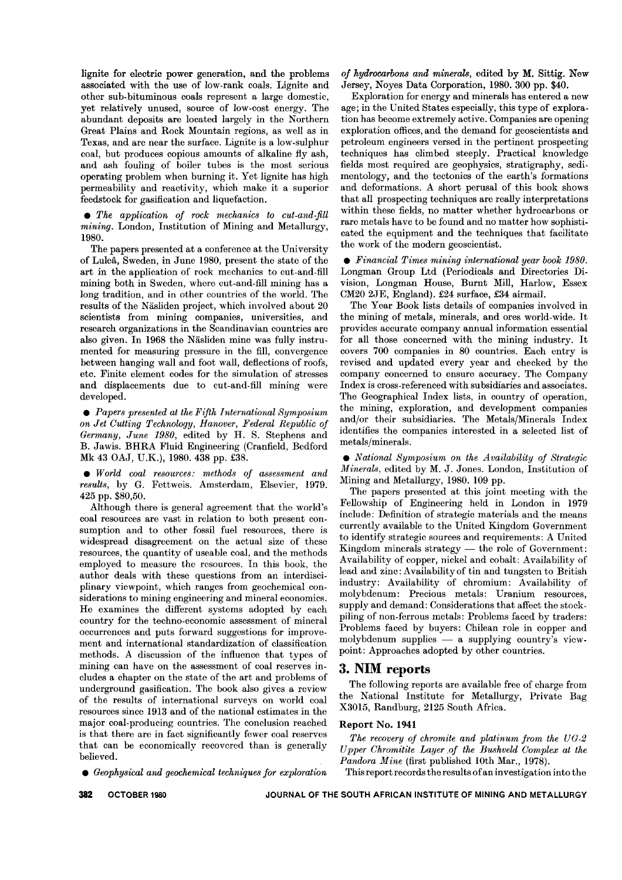lignite for electric power generation, and the problems associated with the use of low-rank coals. Lignite and other sub-bituminous coals represent a large domestic, yet relatively unused, source of low-cost energy. The abundant deposits are located largely in the Northern Great Plains and Rock Mountain regions, as well as in Texas, and are near the surface. Lignite is a Iow-sulphur coal, but produces copious amounts of alkaline fly ash, and ash fouling of boiler tubes is the most serious operating problem when burning it. Yet lignite has high permeability and reactivity, which make it a superior feedstock for gasification and liquefaction.

 $\bullet$  *The application of rock mechanics to cut-and-fill mining.* London, Institution of Mining and Metallurgy, 1980.

The papers presented at a conference at the University of Lulea, Sweden, in June 1980, present the state of the art in the application of rock mechanics to cut-and-fill mining both in Sweden, where cut-and-fill mining has a long tradition, and in other countries of the world. The results of the Näsliden project, which involved about 20 scientists from mining companies, universities, and research organizations in the Scandinavian countries are also given. In 1968 the Näsliden mine was fully instrumented for measuring pressure in the fill, convergence between hanging wall and foot wall, deflections of roofs, etc. Finite element codes for the simulation of stresses and displacements due to cut-and-fill mining were developed.

. *Papers presented at the Fifth International Symposium on Jet Cutting Technology, Hanover, Federal Republic of Germany, June 1980,* edited by H. S. Stephens and B. Jawis. BHRA Fluid Engineering (Cranfield, Bedford Mk 43 OAJ, U.K.), 1980. 438 pp. £38.

. *World coal resources.. methods of assessment and results,* by G. Fettweis. Amsterdam, Elsevier, 1979. 425 pp. \$80,50.

Although there is general agreement that the world's coal resources are vast in relation to both present consumption and to other fossil fuel resources, there is widespread disagreement on the actual size of these resources, the quantity of useable coal, and the methods employed to measure the rcsources. In this book, the author deals with these questions from an interdisciplinary viewpoint, which ranges from geochemical considerations to mining engineering and mineral economics. He examines the different systems adopted by each country for the techno-economic assessment of mineral occurrences and puts forward suggestions for improvement and international standardization of classification methods. A discussion of the influence that types of mining can have on the assessment of coal reserves includes a chapter on the state of the art and problems of underground gasification. The book also gives a review of the results of international surveys on world coal resources since 1913 and of the national estimates in the major coal-producing countries. The conclusion reached is that there are in fact significantly fewer coal reserves that can be economically recovered than is generally believed.

. *Geophysical and geochemical techniques for exploration*

*of hydrocarbons and minerals,* edited by M. Sittig. New Jersey, Noyes Data Corporation, 1980. 300 pp. \$40.

Exploration for energy and minerals has entered a new age; in the United States especially, this type of exploration has become extremely active. Companies are opening exploration offices, and the demand for geoscientists and petroleum engineers versed in the pertinent prospecting techniques has climbed steeply. Practical knowledge fields most required are geophysics, stratigraphy, sedimentology, and the tectonics of the earth's formations and deformations. A short perusal of this book shows that all prospecting techniques are really interpretations within these fields, no matter whether hydrocarbons or rare metals have to be found and no matter how sophisticated the equipment and the techniques that facilitate the work of the modern geoscientist.

. *Financial Times mining international year book 1980.* Longman Group Ltd (Periodicals and Directories Division, Longman House, Burnt Mill, Harlow, Essex CM20 2JE, England). £24 surface, £34 airmail.

The Year Book lists details of companies involved in the mining of metals, minerals, and ores world-wide. It provides accurate company annual information essential for all those concerned with the mining industry. It covers 700 companies in 80 countries. Each entry is revised and updated every year and checked by the company concerned to ensure accuracy. The Company Index is cross-referenced with subsidiaries and associates. The Geographical Index lists, in country of operation, the mining, exploration, and development companies and/or their subsidiaries. The Metals/Minerals Index identifies the companies interested in a selected list of metals/minerals.

. *National Symposium on the Availability of Strategic Minerals,* edited by M. J. Jones. London, Institution of Mining and Metallurgy, 1980. 109 pp.

The papers presented at this joint meeting with the Fellowship of Engineering held in London in 1979 include: Definition of strategic materials and the means currently available to the United Kingdom Government to identify strategic sources and requirements: A United Kingdom minerals strategy  $-$  the role of Government: Availability of copper, nickel and cobalt: Availability of lead and zinc: Availa bility of tin and tungsten to British industry: Availability of chromium: Availability of molybdenum: Precious metals: Uranium resources, supply and demand: Considerations that affect the stockpiling of non-ferrous metals: Problems faced by traders: Problems faced by buyers: Chilean role in copper and  $\text{molybdenum}$  supplies  $\text{m}$  a supplying country's view point: Approaches adopted by other countries.

# **3. NIM reports**

The following reports are available free of charge from the National Institute for Metallurgy, Private Bag X30l5, Randburg, 2125 South Africa.

# Report No. 1941

*The recovery of chromite and platinum from the UG-2 Upper Chromitite Layer .of the Bushveld Complex at the Pandora Mine* (first published 10th Mar., 1978).

This report records the results of an investigation into the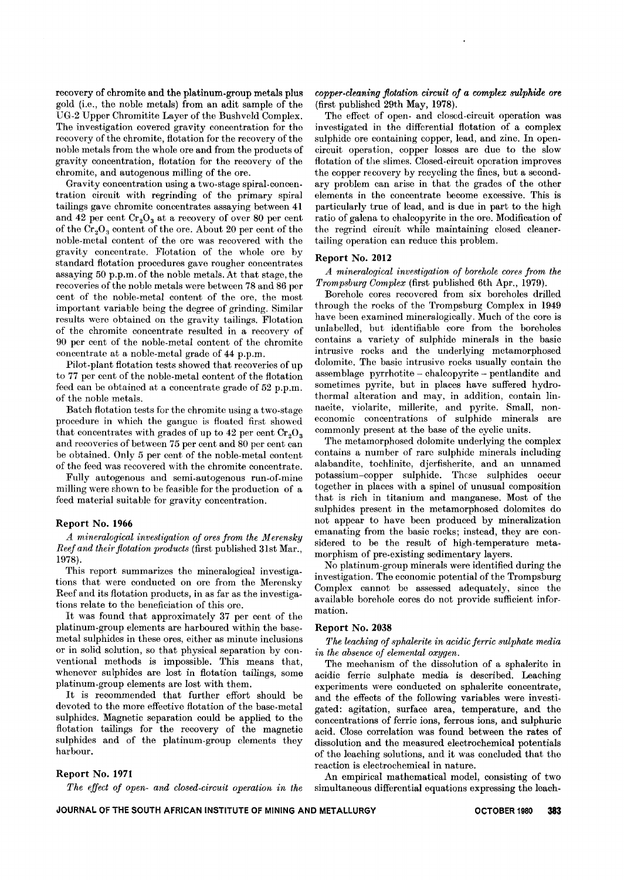recovery of chromite and the platinum-group metals plus gold (Le., the noble metals) from an adit sample of the UG-2 Upper Chromitite Layer of the Bushveld Complex. The investigation covered gravity concentration for the recovery of the chromite, flotation for the recovery of the noble metals from the whole ore and from the products of gravity concentration, flotation for the recovery of the chromite, and autogenous milling of the ore.

Gravity concentration using a two-stage spiral-concentration circuit with regrinding of the primary spiral tailings gave chromite concentrates assaying between 41 and 42 per cent  $Cr_2O_3$  at a recovery of over 80 per cent of the  $Cr_2O_3$  content of the ore. About 20 per cent of the noble-metal content of the ore was recovered with the gravity concentrate. Flotation of the whole ore by standard flotation procedures gave rougher concentrates assaying 50 p.p.m. of the noble metals. At that stage, the recoveries of the noble metals were between 78 and 86 per cent of the noble-metal content of the ore, the most important variable being the degree of grinding. Similar results were obtained on the gravity tailings. Flotation of the chromite concentrate resulted in a recovery of 90 per cent of the noble-metal content of the chromite concentrate at a noble-metal grade of 44 p.p.m.

Pilot-plant flotation tests showed that recoveries of up to 77 per cent of the noble-metal content of the flotation feed can be obtained at a concentrate grade of 52 p.p.m. of the noble metals.

Batch flotation tests for the chromite using a two-stage procedure in which the gangue is floated first showed that concentrates with grades of up to 42 per cent  $Cr_2O_3$ and recoveries of between 75 per cent and 80 per cent can be obtained. Only 5 per cent of the noble-metal content of the feed was recovered with the chromite concentrate.

Fully autogenous and semi-autogenous run-of-mine milling were shown to be feasible for the production of a feed material suitable for gravity concentration.

### Report No. 1966

*A mineralogical investigation of ores from the Merensky Reef and their flotation products* (first published 31st Mar., 1978).

This report summarizes the mineralogical investigations that were conducted on ore from the Merensky Reef and its flotation products, in as far as the investigations relate to the beneficiation of this ore.

It was found that approximately 37 per cent of the platinum-group elements are harboured within the basemetal sulphides in these ores, either as minute inclusions or in solid solution, so that physical separation by conventional methods is impossible. This means that, whenever sulphides are lost in flotation tailings, some platinum-group elements are lost with them.

It is recommended that further effort should be devoted to the more effective flotation of the base-metal sulphides. Magnetic separation could be applied to the flotation tailings for the recovery of the magnetic sulphides and of the platinum-group elements they harbour.

#### Report No. 1971

The effect *of open- and closed-circuit operation in the*

*copper-cleaning flotation circuit of a complex sulphide ore* (first published 29th May, 1978).

The effect of open- and closed-circuit operation was investigated in the differential flotation of a complex sulphide ore containing copper, lead, and zinc. In opencircuit operation, copper losses are due to the slow flotation of the slimes. Closed-circuit operation improves the copper recovery by recycling the fines, but a secondary problem can arise in that the grades of the other elements in the concentrate become excessive. This is particularly true of lead, and is due in part to the high ratio of galena to chalcopyrite in the ore. Modification of the regrind circuit while maintaining closed cleanertailing operation can reduce this problem.

# Report No. 2012

*A* mineralogical investigation of borehole cores from the Trompsburg Complex (first published 6th Apr., 1979).

Borehole cores recovered from six boreholes drilled through the rocks of the Trompsburg Complex in 1949 have been examined mineralogically. Much of the core is unlabelled, but identifiable core from the boreholes contains a variety of sulphide minerals in the basic intrusive rocks and the underlying metamorphosed dolomite. The basic intrusive rocks usually contain the assemblage pyrrhotite - chalcopyrite - pentlandite and sometimes pyrite, but in places have suffered hydrothermal alteration and may, in addition, contain linnaeite, violarite, millerite, and pyrite. Small, noneconomic concentrations of sulphide minerals are commonly present at the base of the cyclic units.

The metamorphosed dolomite underlying the complex contains a number of rare sulphide minerals including alabandite, tochlinite, djerfisherite, and an unnamed potassium-copper sulphide. These sulphides occur together in places with a spinel of unusual composition that is rich in titanium and manganese. Most of the sulphides present in the metamorphosed dolomites do not appear to have been produced by mineralization emanating from the basic rocks; instead, they are considered to be the result of high-temperature metamorphism of pre-existing sedimentary layers.

No platinum-group minerals were identified during the investigation. The economic potential of the Trompsburg Complex cannot be assessed adequately, since the available borehole cores do not provide sufficient information.

#### Report No. 2038

The leaching of sphalerite in acidic ferric sulphate media in the absence of elemental oxygen.

The mechanism of the dissolution of a sphalerite in acidic ferric sulphate media is described. Leaching experiments were conducted on sphalerite concentrate, and the effects of the following variables were investigated: agitation, surface area, temperature, and the concentrations of ferric ions, ferrous ions, and sulphuric acid. Close correlation was found between the rates of dissolution and the measured electrochemical potentials of the leaching solutions, and it was concluded that the reaction is electrochemical in nature.

An empirical mathematical model, consisting of two simultaneous differential equations expressing the leach